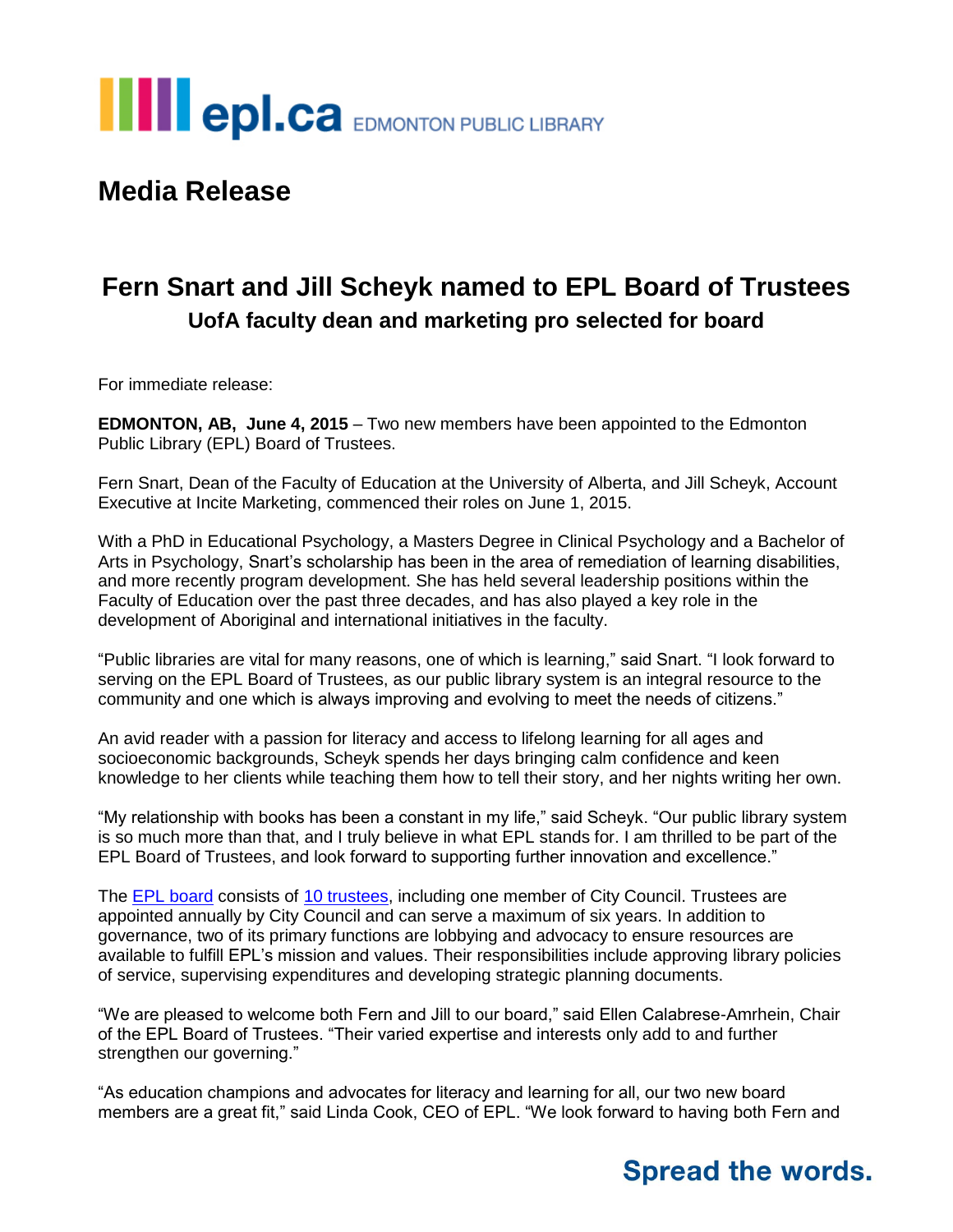# **III** epl.ca EDMONTON PUBLIC LIBRARY

#### **Media Release**

### **Fern Snart and Jill Scheyk named to EPL Board of Trustees UofA faculty dean and marketing pro selected for board**

For immediate release:

**EDMONTON, AB, June 4, 2015** – Two new members have been appointed to the Edmonton Public Library (EPL) Board of Trustees.

Fern Snart, Dean of the Faculty of Education at the University of Alberta, and Jill Scheyk, Account Executive at Incite Marketing, commenced their roles on June 1, 2015.

With a PhD in Educational Psychology, a Masters Degree in Clinical Psychology and a Bachelor of Arts in Psychology, Snart's scholarship has been in the area of remediation of learning disabilities, and more recently program development. She has held several leadership positions within the Faculty of Education over the past three decades, and has also played a key role in the development of Aboriginal and international initiatives in the faculty.

"Public libraries are vital for many reasons, one of which is learning," said Snart. "I look forward to serving on the EPL Board of Trustees, as our public library system is an integral resource to the community and one which is always improving and evolving to meet the needs of citizens."

An avid reader with a passion for literacy and access to lifelong learning for all ages and socioeconomic backgrounds, Scheyk spends her days bringing calm confidence and keen knowledge to her clients while teaching them how to tell their story, and her nights writing her own.

"My relationship with books has been a constant in my life," said Scheyk. "Our public library system is so much more than that, and I truly believe in what EPL stands for. I am thrilled to be part of the EPL Board of Trustees, and look forward to supporting further innovation and excellence."

The **EPL** board consists of [10 trustees,](http://www.epl.ca/about-epl/trustees/trustees) including one member of City Council. Trustees are appointed annually by City Council and can serve a maximum of six years. In addition to governance, two of its primary functions are lobbying and advocacy to ensure resources are available to fulfill EPL's mission and values. Their responsibilities include approving library policies of service, supervising expenditures and developing strategic planning documents.

"We are pleased to welcome both Fern and Jill to our board," said Ellen Calabrese-Amrhein, Chair of the EPL Board of Trustees. "Their varied expertise and interests only add to and further strengthen our governing."

"As education champions and advocates for literacy and learning for all, our two new board members are a great fit," said Linda Cook, CEO of EPL. "We look forward to having both Fern and

### **Spread the words.**